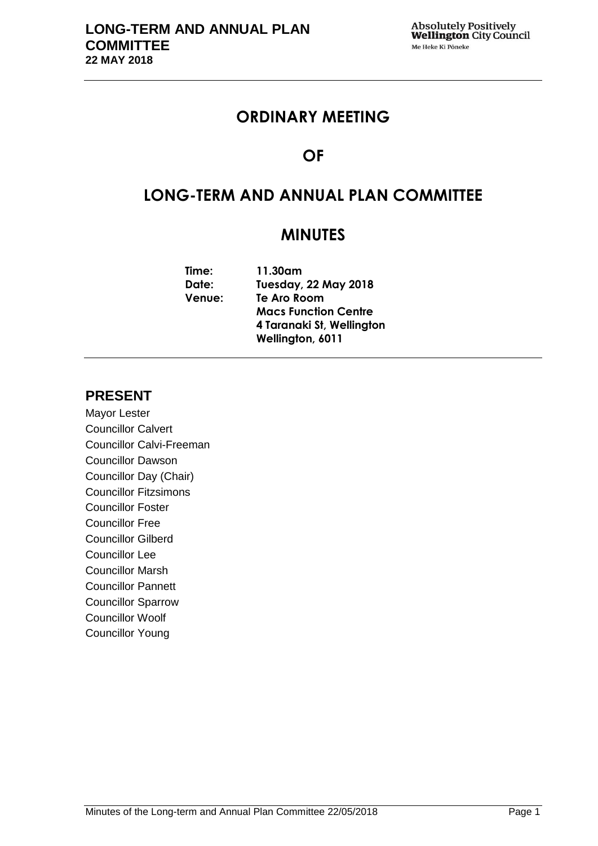# **ORDINARY MEETING**

# **OF**

# **LONG-TERM AND ANNUAL PLAN COMMITTEE**

# **MINUTES**

| Time:         | 11.30am                     |
|---------------|-----------------------------|
| Date:         | <b>Tuesday, 22 May 2018</b> |
| <b>Venue:</b> | Te Aro Room                 |
|               | <b>Macs Function Centre</b> |
|               | 4 Taranaki St, Wellington   |
|               | Wellington, 6011            |
|               |                             |

# **PRESENT**

Mayor Lester Councillor Calvert Councillor Calvi-Freeman Councillor Dawson Councillor Day (Chair) Councillor Fitzsimons Councillor Foster Councillor Free Councillor Gilberd Councillor Lee Councillor Marsh Councillor Pannett Councillor Sparrow Councillor Woolf Councillor Young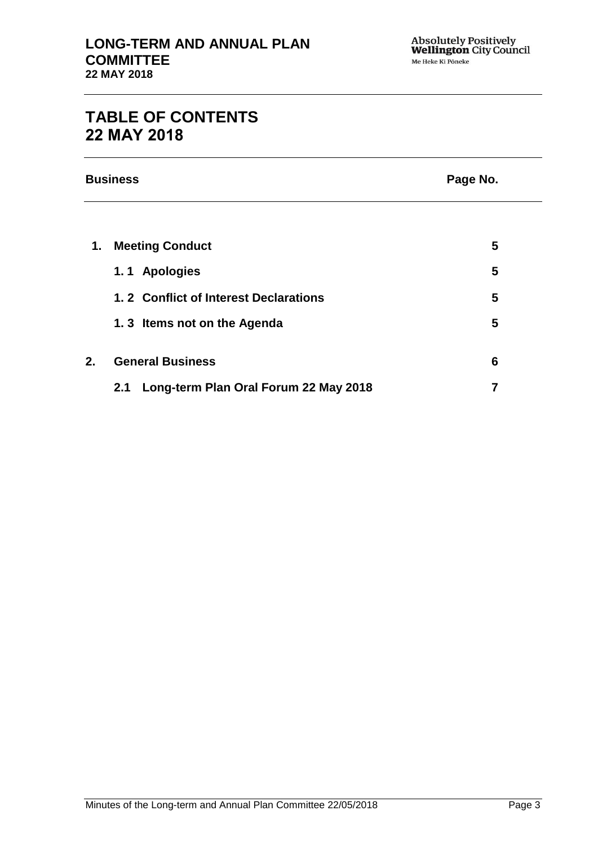# **TABLE OF CONTENTS 22 MAY 2018**

**Business Page No.**

| 1. | <b>Meeting Conduct</b>                       | 5 |
|----|----------------------------------------------|---|
|    | 1.1 Apologies                                | 5 |
|    | 1.2 Conflict of Interest Declarations        | 5 |
|    | 1.3 Items not on the Agenda                  | 5 |
| 2. | <b>General Business</b>                      | 6 |
|    | Long-term Plan Oral Forum 22 May 2018<br>2.1 |   |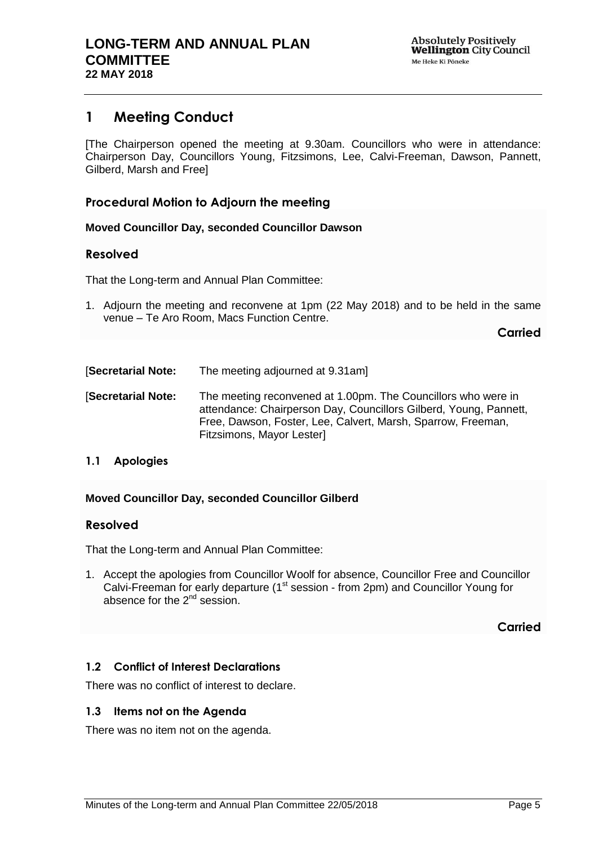# <span id="page-4-0"></span>**1 Meeting Conduct**

[The Chairperson opened the meeting at 9.30am. Councillors who were in attendance: Chairperson Day, Councillors Young, Fitzsimons, Lee, Calvi-Freeman, Dawson, Pannett, Gilberd, Marsh and Free]

# **Procedural Motion to Adjourn the meeting**

**Moved Councillor Day, seconded Councillor Dawson**

# **Resolved**

That the Long-term and Annual Plan Committee:

1. Adjourn the meeting and reconvene at 1pm (22 May 2018) and to be held in the same venue – Te Aro Room, Macs Function Centre.

**Carried**

[**Secretarial Note:** The meeting adjourned at 9.31am] [**Secretarial Note:** The meeting reconvened at 1.00pm. The Councillors who were in attendance: Chairperson Day, Councillors Gilberd, Young, Pannett, Free, Dawson, Foster, Lee, Calvert, Marsh, Sparrow, Freeman, Fitzsimons, Mayor Lester]

### <span id="page-4-1"></span>**1.1 Apologies**

### **Moved Councillor Day, seconded Councillor Gilberd**

### **Resolved**

That the Long-term and Annual Plan Committee:

1. Accept the apologies from Councillor Woolf for absence, Councillor Free and Councillor Calvi-Freeman for early departure  $(1<sup>st</sup>$  session - from 2pm) and Councillor Young for absence for the  $2^{nd}$  session.

**Carried**

# <span id="page-4-2"></span>**1.2 Conflict of Interest Declarations**

There was no conflict of interest to declare.

### <span id="page-4-3"></span>**1.3 Items not on the Agenda**

There was no item not on the agenda.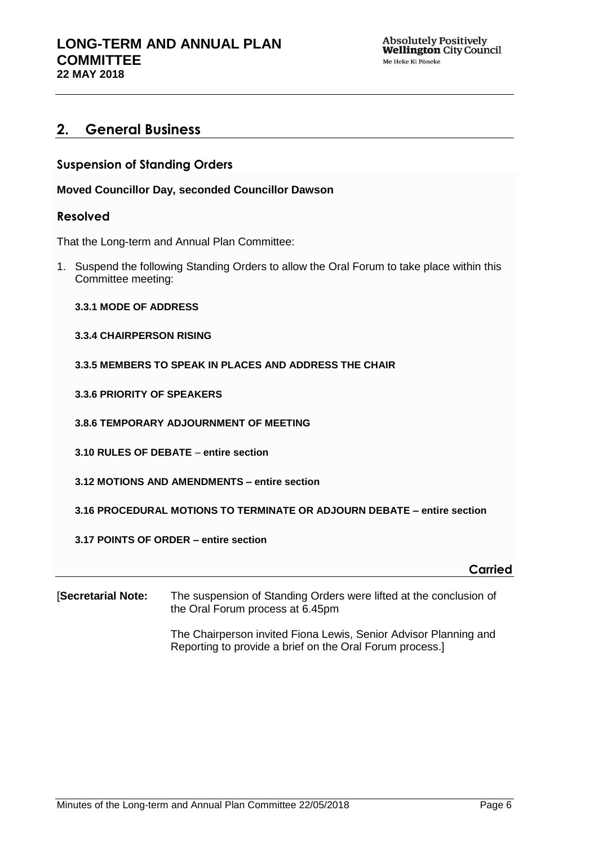# <span id="page-5-0"></span>**2. General Business**

## **Suspension of Standing Orders**

#### **Moved Councillor Day, seconded Councillor Dawson**

## **Resolved**

That the Long-term and Annual Plan Committee:

- 1. Suspend the following Standing Orders to allow the Oral Forum to take place within this Committee meeting:
	- **3.3.1 MODE OF ADDRESS**
	- **3.3.4 CHAIRPERSON RISING**
	- **3.3.5 MEMBERS TO SPEAK IN PLACES AND ADDRESS THE CHAIR**
	- **3.3.6 PRIORITY OF SPEAKERS**
	- **3.8.6 TEMPORARY ADJOURNMENT OF MEETING**
	- **3.10 RULES OF DEBATE entire section**
	- **3.12 MOTIONS AND AMENDMENTS – entire section**
	- **3.16 PROCEDURAL MOTIONS TO TERMINATE OR ADJOURN DEBATE – entire section**
	- **3.17 POINTS OF ORDER – entire section**

#### **Carried**

[**Secretarial Note:** The suspension of Standing Orders were lifted at the conclusion of the Oral Forum process at 6.45pm

> The Chairperson invited Fiona Lewis, Senior Advisor Planning and Reporting to provide a brief on the Oral Forum process.]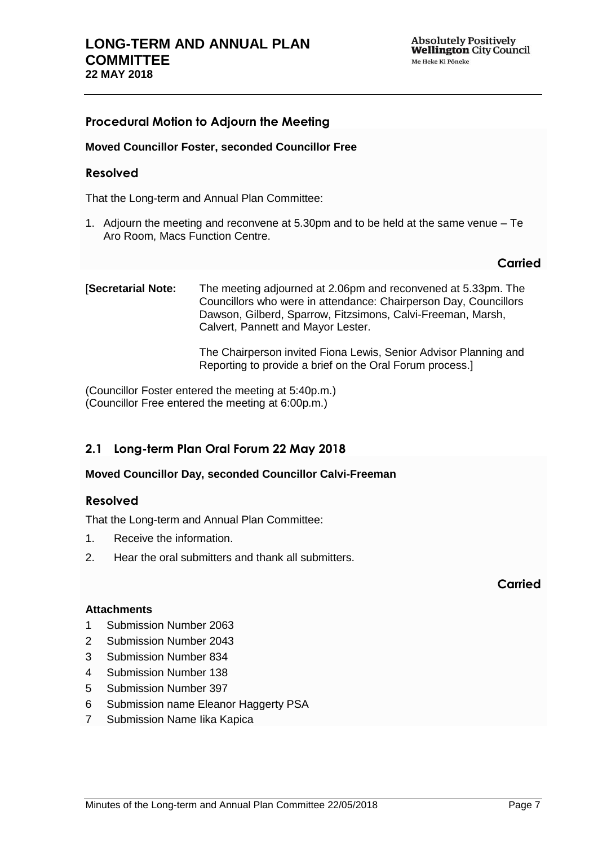## **Procedural Motion to Adjourn the Meeting**

#### **Moved Councillor Foster, seconded Councillor Free**

### **Resolved**

That the Long-term and Annual Plan Committee:

1. Adjourn the meeting and reconvene at 5.30pm and to be held at the same venue – Te Aro Room, Macs Function Centre.

# **Carried**

[**Secretarial Note:** The meeting adjourned at 2.06pm and reconvened at 5.33pm. The Councillors who were in attendance: Chairperson Day, Councillors Dawson, Gilberd, Sparrow, Fitzsimons, Calvi-Freeman, Marsh, Calvert, Pannett and Mayor Lester. The Chairperson invited Fiona Lewis, Senior Advisor Planning and

Reporting to provide a brief on the Oral Forum process.]

(Councillor Foster entered the meeting at 5:40p.m.) (Councillor Free entered the meeting at 6:00p.m.)

# <span id="page-6-0"></span>**2.1 Long-term Plan Oral Forum 22 May 2018**

#### **Moved Councillor Day, seconded Councillor Calvi-Freeman**

#### **Resolved**

That the Long-term and Annual Plan Committee:

- 1. Receive the information.
- 2. Hear the oral submitters and thank all submitters.

### **Carried**

#### **Attachments**

- 1 Submission Number 2063
- 2 Submission Number 2043
- 3 Submission Number 834
- 4 Submission Number 138
- 5 Submission Number 397
- 6 Submission name Eleanor Haggerty PSA
- 7 Submission Name Iika Kapica